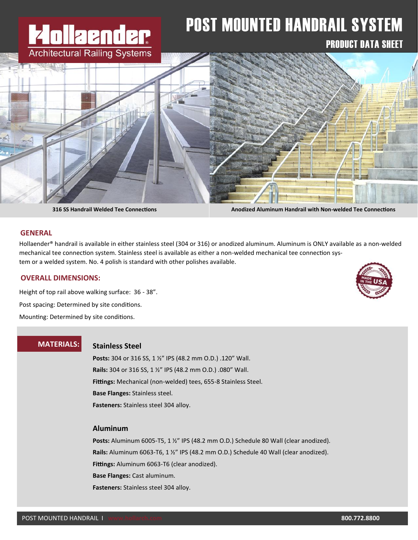# **lla and ar Architectural Railing Systems**

# POST MOUNTED HANDRAIL SYSTEM

# PRODUCT DATA SHEET



**316 SS Handrail Welded Tee Connections Anodized Aluminum Handrail with Non-welded Tee Connections**

#### **GENERAL**

Hollaender® handrail is available in either stainless steel (304 or 316) or anodized aluminum. Aluminum is ONLY available as a non-welded mechanical tee connection system. Stainless steel is available as either a non-welded mechanical tee connection system or a welded system. No. 4 polish is standard with other polishes available.

#### **OVERALL DIMENSIONS:**

Height of top rail above walking surface: 36 - 38". Post spacing: Determined by site conditions. Mounting: Determined by site conditions.

# **MATERIALS:**

# **Stainless Steel**

**Posts:** 304 or 316 SS, 1 ½" IPS (48.2 mm O.D.) .120" Wall. **Rails:** 304 or 316 SS, 1 ½" IPS (48.2 mm O.D.) .080" Wall. **Fittings:** Mechanical (non-welded) tees, 655-8 Stainless Steel. **Base Flanges:** Stainless steel. **Fasteners:** Stainless steel 304 alloy.

#### **Aluminum**

**Posts:** Aluminum 6005-T5, 1 ½" IPS (48.2 mm O.D.) Schedule 80 Wall (clear anodized). **Rails:** Aluminum 6063-T6, 1 ½" IPS (48.2 mm O.D.) Schedule 40 Wall (clear anodized). **Fittings:** Aluminum 6063-T6 (clear anodized). **Base Flanges:** Cast aluminum. **Fasteners:** Stainless steel 304 alloy.